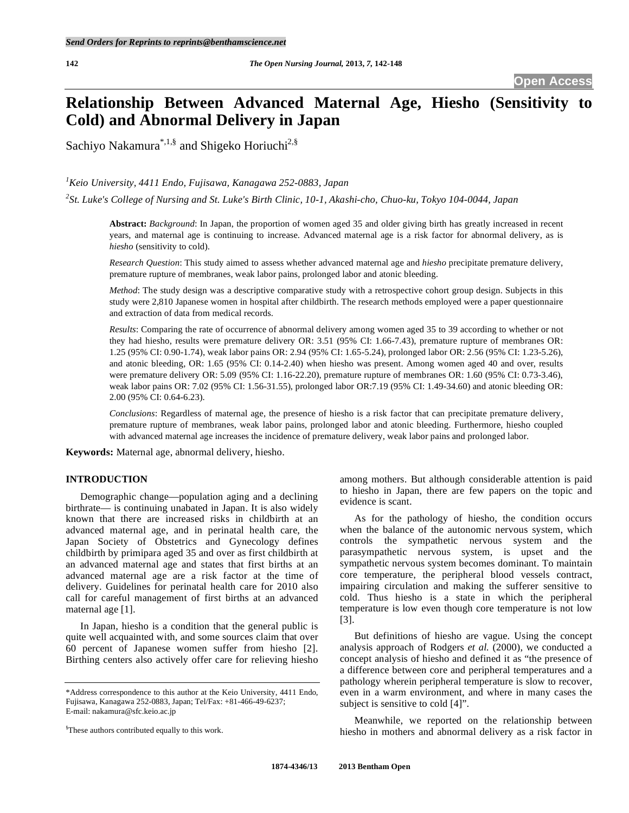# **Relationship Between Advanced Maternal Age, Hiesho (Sensitivity to Cold) and Abnormal Delivery in Japan**

Sachiyo Nakamura $^{*,1,\$}$  and Shigeko Horiuchi<sup>2,§</sup>

*1 Keio University, 4411 Endo, Fujisawa, Kanagawa 252-0883, Japan* 

*2 St. Luke's College of Nursing and St. Luke's Birth Clinic, 10-1, Akashi-cho, Chuo-ku, Tokyo 104-0044, Japan* 

**Abstract:** *Background*: In Japan, the proportion of women aged 35 and older giving birth has greatly increased in recent years, and maternal age is continuing to increase. Advanced maternal age is a risk factor for abnormal delivery, as is *hiesho* (sensitivity to cold).

*Research Question*: This study aimed to assess whether advanced maternal age and *hiesho* precipitate premature delivery, premature rupture of membranes, weak labor pains, prolonged labor and atonic bleeding.

*Method*: The study design was a descriptive comparative study with a retrospective cohort group design. Subjects in this study were 2,810 Japanese women in hospital after childbirth. The research methods employed were a paper questionnaire and extraction of data from medical records.

*Results*: Comparing the rate of occurrence of abnormal delivery among women aged 35 to 39 according to whether or not they had hiesho, results were premature delivery OR: 3.51 (95% CI: 1.66-7.43), premature rupture of membranes OR: 1.25 (95% CI: 0.90-1.74), weak labor pains OR: 2.94 (95% CI: 1.65-5.24), prolonged labor OR: 2.56 (95% CI: 1.23-5.26), and atonic bleeding, OR: 1.65 (95% CI: 0.14-2.40) when hiesho was present. Among women aged 40 and over, results were premature delivery OR: 5.09 (95% CI: 1.16-22.20), premature rupture of membranes OR: 1.60 (95% CI: 0.73-3.46), weak labor pains OR: 7.02 (95% CI: 1.56-31.55), prolonged labor OR:7.19 (95% CI: 1.49-34.60) and atonic bleeding OR: 2.00 (95% CI: 0.64-6.23).

*Conclusions*: Regardless of maternal age, the presence of hiesho is a risk factor that can precipitate premature delivery, premature rupture of membranes, weak labor pains, prolonged labor and atonic bleeding. Furthermore, hiesho coupled with advanced maternal age increases the incidence of premature delivery, weak labor pains and prolonged labor.

**Keywords:** Maternal age, abnormal delivery, hiesho.

# **INTRODUCTION**

 Demographic change—population aging and a declining birthrate— is continuing unabated in Japan. It is also widely known that there are increased risks in childbirth at an advanced maternal age, and in perinatal health care, the Japan Society of Obstetrics and Gynecology defines childbirth by primipara aged 35 and over as first childbirth at an advanced maternal age and states that first births at an advanced maternal age are a risk factor at the time of delivery. Guidelines for perinatal health care for 2010 also call for careful management of first births at an advanced maternal age [1].

 In Japan, hiesho is a condition that the general public is quite well acquainted with, and some sources claim that over 60 percent of Japanese women suffer from hiesho [2]. Birthing centers also actively offer care for relieving hiesho among mothers. But although considerable attention is paid to hiesho in Japan, there are few papers on the topic and evidence is scant.

 As for the pathology of hiesho, the condition occurs when the balance of the autonomic nervous system, which controls the sympathetic nervous system and the parasympathetic nervous system, is upset and the sympathetic nervous system becomes dominant. To maintain core temperature, the peripheral blood vessels contract, impairing circulation and making the sufferer sensitive to cold. Thus hiesho is a state in which the peripheral temperature is low even though core temperature is not low [3].

 But definitions of hiesho are vague. Using the concept analysis approach of Rodgers *et al.* (2000), we conducted a concept analysis of hiesho and defined it as "the presence of a difference between core and peripheral temperatures and a pathology wherein peripheral temperature is slow to recover, even in a warm environment, and where in many cases the subject is sensitive to cold [4]".

 Meanwhile, we reported on the relationship between hiesho in mothers and abnormal delivery as a risk factor in

<sup>\*</sup>Address correspondence to this author at the Keio University, 4411 Endo, Fujisawa, Kanagawa 252-0883, Japan; Tel/Fax: +81-466-49-6237; E-mail: nakamura@sfc.keio.ac.jp

<sup>&</sup>lt;sup>§</sup>These authors contributed equally to this work.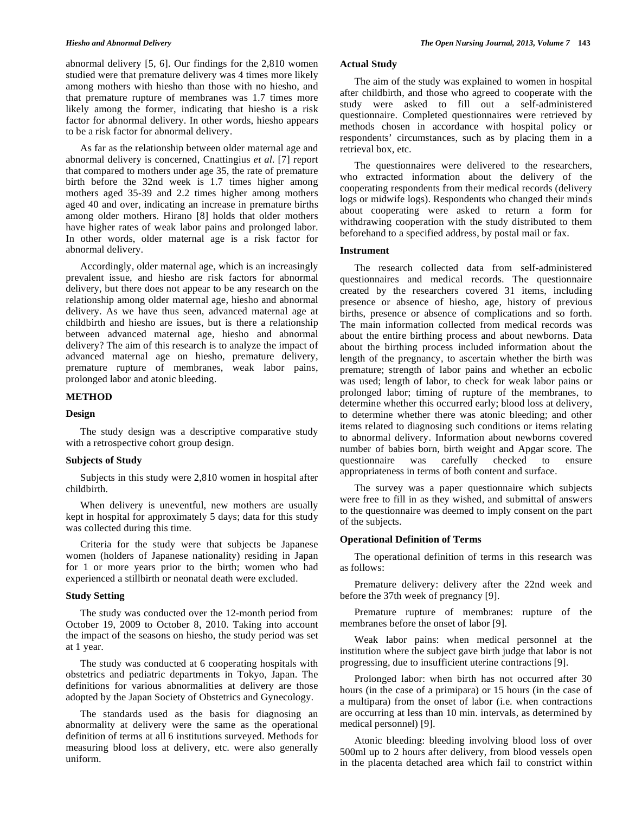abnormal delivery [5, 6]. Our findings for the 2,810 women studied were that premature delivery was 4 times more likely among mothers with hiesho than those with no hiesho, and that premature rupture of membranes was 1.7 times more likely among the former, indicating that hiesho is a risk factor for abnormal delivery. In other words, hiesho appears to be a risk factor for abnormal delivery.

 As far as the relationship between older maternal age and abnormal delivery is concerned, Cnattingius *et al.* [7] report that compared to mothers under age 35, the rate of premature birth before the 32nd week is 1.7 times higher among mothers aged 35-39 and 2.2 times higher among mothers aged 40 and over, indicating an increase in premature births among older mothers. Hirano [8] holds that older mothers have higher rates of weak labor pains and prolonged labor. In other words, older maternal age is a risk factor for abnormal delivery.

 Accordingly, older maternal age, which is an increasingly prevalent issue, and hiesho are risk factors for abnormal delivery, but there does not appear to be any research on the relationship among older maternal age, hiesho and abnormal delivery. As we have thus seen, advanced maternal age at childbirth and hiesho are issues, but is there a relationship between advanced maternal age, hiesho and abnormal delivery? The aim of this research is to analyze the impact of advanced maternal age on hiesho, premature delivery, premature rupture of membranes, weak labor pains, prolonged labor and atonic bleeding.

#### **METHOD**

#### **Design**

 The study design was a descriptive comparative study with a retrospective cohort group design.

#### **Subjects of Study**

 Subjects in this study were 2,810 women in hospital after childbirth.

 When delivery is uneventful, new mothers are usually kept in hospital for approximately 5 days; data for this study was collected during this time.

 Criteria for the study were that subjects be Japanese women (holders of Japanese nationality) residing in Japan for 1 or more years prior to the birth; women who had experienced a stillbirth or neonatal death were excluded.

#### **Study Setting**

 The study was conducted over the 12-month period from October 19, 2009 to October 8, 2010. Taking into account the impact of the seasons on hiesho, the study period was set at 1 year.

 The study was conducted at 6 cooperating hospitals with obstetrics and pediatric departments in Tokyo, Japan. The definitions for various abnormalities at delivery are those adopted by the Japan Society of Obstetrics and Gynecology.

 The standards used as the basis for diagnosing an abnormality at delivery were the same as the operational definition of terms at all 6 institutions surveyed. Methods for measuring blood loss at delivery, etc. were also generally uniform.

# **Actual Study**

 The aim of the study was explained to women in hospital after childbirth, and those who agreed to cooperate with the study were asked to fill out a self-administered questionnaire. Completed questionnaires were retrieved by methods chosen in accordance with hospital policy or respondents' circumstances, such as by placing them in a retrieval box, etc.

 The questionnaires were delivered to the researchers, who extracted information about the delivery of the cooperating respondents from their medical records (delivery logs or midwife logs). Respondents who changed their minds about cooperating were asked to return a form for withdrawing cooperation with the study distributed to them beforehand to a specified address, by postal mail or fax.

#### **Instrument**

 The research collected data from self-administered questionnaires and medical records. The questionnaire created by the researchers covered 31 items, including presence or absence of hiesho, age, history of previous births, presence or absence of complications and so forth. The main information collected from medical records was about the entire birthing process and about newborns. Data about the birthing process included information about the length of the pregnancy, to ascertain whether the birth was premature; strength of labor pains and whether an ecbolic was used; length of labor, to check for weak labor pains or prolonged labor; timing of rupture of the membranes, to determine whether this occurred early; blood loss at delivery, to determine whether there was atonic bleeding; and other items related to diagnosing such conditions or items relating to abnormal delivery. Information about newborns covered number of babies born, birth weight and Apgar score. The questionnaire was carefully checked to ensure appropriateness in terms of both content and surface.

 The survey was a paper questionnaire which subjects were free to fill in as they wished, and submittal of answers to the questionnaire was deemed to imply consent on the part of the subjects.

# **Operational Definition of Terms**

 The operational definition of terms in this research was as follows:

 Premature delivery: delivery after the 22nd week and before the 37th week of pregnancy [9].

 Premature rupture of membranes: rupture of the membranes before the onset of labor [9].

 Weak labor pains: when medical personnel at the institution where the subject gave birth judge that labor is not progressing, due to insufficient uterine contractions [9].

 Prolonged labor: when birth has not occurred after 30 hours (in the case of a primipara) or 15 hours (in the case of a multipara) from the onset of labor (i.e. when contractions are occurring at less than 10 min. intervals, as determined by medical personnel) [9].

 Atonic bleeding: bleeding involving blood loss of over 500ml up to 2 hours after delivery, from blood vessels open in the placenta detached area which fail to constrict within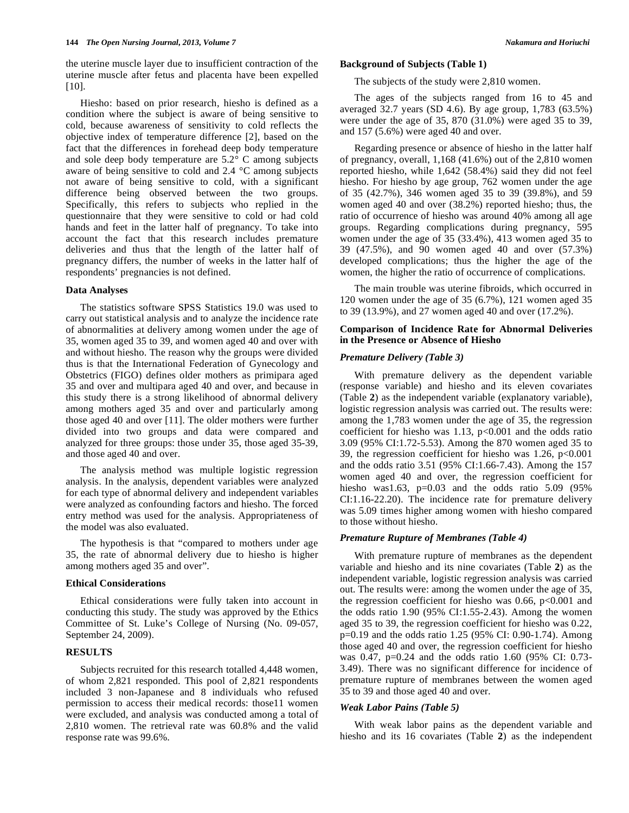the uterine muscle layer due to insufficient contraction of the uterine muscle after fetus and placenta have been expelled [10].

 Hiesho: based on prior research, hiesho is defined as a condition where the subject is aware of being sensitive to cold, because awareness of sensitivity to cold reflects the objective index of temperature difference [2], based on the fact that the differences in forehead deep body temperature and sole deep body temperature are 5.2° C among subjects aware of being sensitive to cold and 2.4 °C among subjects not aware of being sensitive to cold, with a significant difference being observed between the two groups. Specifically, this refers to subjects who replied in the questionnaire that they were sensitive to cold or had cold hands and feet in the latter half of pregnancy. To take into account the fact that this research includes premature deliveries and thus that the length of the latter half of pregnancy differs, the number of weeks in the latter half of respondents' pregnancies is not defined.

# **Data Analyses**

 The statistics software SPSS Statistics 19.0 was used to carry out statistical analysis and to analyze the incidence rate of abnormalities at delivery among women under the age of 35, women aged 35 to 39, and women aged 40 and over with and without hiesho. The reason why the groups were divided thus is that the International Federation of Gynecology and Obstetrics (FIGO) defines older mothers as primipara aged 35 and over and multipara aged 40 and over, and because in this study there is a strong likelihood of abnormal delivery among mothers aged 35 and over and particularly among those aged 40 and over [11]. The older mothers were further divided into two groups and data were compared and analyzed for three groups: those under 35, those aged 35-39, and those aged 40 and over.

 The analysis method was multiple logistic regression analysis. In the analysis, dependent variables were analyzed for each type of abnormal delivery and independent variables were analyzed as confounding factors and hiesho. The forced entry method was used for the analysis. Appropriateness of the model was also evaluated.

 The hypothesis is that "compared to mothers under age 35, the rate of abnormal delivery due to hiesho is higher among mothers aged 35 and over".

#### **Ethical Considerations**

 Ethical considerations were fully taken into account in conducting this study. The study was approved by the Ethics Committee of St. Luke's College of Nursing (No. 09-057, September 24, 2009).

#### **RESULTS**

 Subjects recruited for this research totalled 4,448 women, of whom 2,821 responded. This pool of 2,821 respondents included 3 non-Japanese and 8 individuals who refused permission to access their medical records: those11 women were excluded, and analysis was conducted among a total of 2,810 women. The retrieval rate was 60.8% and the valid response rate was 99.6%.

#### **Background of Subjects (Table 1)**

The subjects of the study were 2,810 women.

 The ages of the subjects ranged from 16 to 45 and averaged 32.7 years (SD 4.6). By age group, 1,783 (63.5%) were under the age of 35, 870 (31.0%) were aged 35 to 39, and 157 (5.6%) were aged 40 and over.

 Regarding presence or absence of hiesho in the latter half of pregnancy, overall, 1,168 (41.6%) out of the 2,810 women reported hiesho, while 1,642 (58.4%) said they did not feel hiesho. For hiesho by age group, 762 women under the age of 35 (42.7%), 346 women aged 35 to 39 (39.8%), and 59 women aged 40 and over (38.2%) reported hiesho; thus, the ratio of occurrence of hiesho was around 40% among all age groups. Regarding complications during pregnancy, 595 women under the age of 35 (33.4%), 413 women aged 35 to 39 (47.5%), and 90 women aged 40 and over (57.3%) developed complications; thus the higher the age of the women, the higher the ratio of occurrence of complications.

 The main trouble was uterine fibroids, which occurred in 120 women under the age of 35 (6.7%), 121 women aged 35 to 39 (13.9%), and 27 women aged 40 and over (17.2%).

# **Comparison of Incidence Rate for Abnormal Deliveries in the Presence or Absence of Hiesho**

# *Premature Delivery (Table 3)*

 With premature delivery as the dependent variable (response variable) and hiesho and its eleven covariates (Table **2**) as the independent variable (explanatory variable), logistic regression analysis was carried out. The results were: among the 1,783 women under the age of 35, the regression coefficient for hiesho was 1.13,  $p<0.001$  and the odds ratio 3.09 (95% CI:1.72-5.53). Among the 870 women aged 35 to 39, the regression coefficient for hiesho was 1.26, p<0.001 and the odds ratio 3.51 (95% CI:1.66-7.43). Among the 157 women aged 40 and over, the regression coefficient for hiesho was1.63,  $p=0.03$  and the odds ratio 5.09 (95%) CI:1.16-22.20). The incidence rate for premature delivery was 5.09 times higher among women with hiesho compared to those without hiesho.

# *Premature Rupture of Membranes (Table 4)*

 With premature rupture of membranes as the dependent variable and hiesho and its nine covariates (Table **2**) as the independent variable, logistic regression analysis was carried out. The results were: among the women under the age of 35, the regression coefficient for hiesho was  $0.66$ ,  $p<0.001$  and the odds ratio 1.90 (95% CI:1.55-2.43). Among the women aged 35 to 39, the regression coefficient for hiesho was 0.22, p=0.19 and the odds ratio 1.25 (95% CI: 0.90-1.74). Among those aged 40 and over, the regression coefficient for hiesho was 0.47, p=0.24 and the odds ratio 1.60 (95% CI: 0.73- 3.49). There was no significant difference for incidence of premature rupture of membranes between the women aged 35 to 39 and those aged 40 and over.

## *Weak Labor Pains (Table 5)*

 With weak labor pains as the dependent variable and hiesho and its 16 covariates (Table **2**) as the independent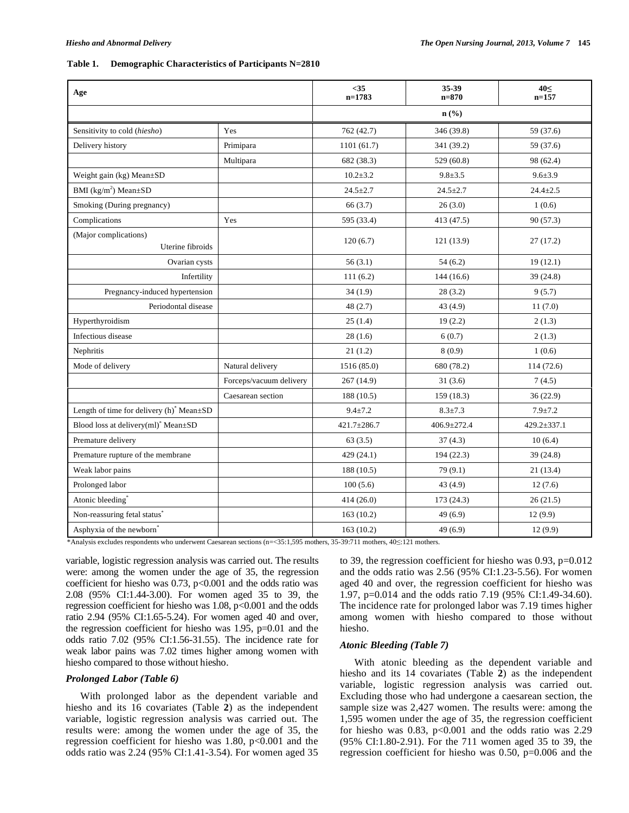#### **Table 1. Demographic Characteristics of Participants N=2810**

| Age                                                          |                         | $35$<br>$n=1783$  | 35-39<br>$n = 870$          | 40<<br>$n=157$    |
|--------------------------------------------------------------|-------------------------|-------------------|-----------------------------|-------------------|
|                                                              |                         |                   | $n\left(\frac{0}{0}\right)$ |                   |
| Sensitivity to cold (hiesho)                                 | Yes                     | 762 (42.7)        | 346 (39.8)                  | 59 (37.6)         |
| Delivery history                                             | Primipara               | 1101(61.7)        | 341 (39.2)                  | 59 (37.6)         |
|                                                              | Multipara               | 682 (38.3)        | 529 (60.8)                  | 98 (62.4)         |
| Weight gain (kg) Mean±SD                                     |                         | $10.2 \pm 3.2$    | $9.8 + 3.5$                 | $9.6 + 3.9$       |
| BMI ( $\text{kg/m}^2$ ) Mean $\pm$ SD                        |                         | $24.5 \pm 2.7$    | $24.5 \pm 2.7$              | $24.4 \pm 2.5$    |
| Smoking (During pregnancy)                                   |                         | 66 (3.7)          | 26(3.0)                     | 1(0.6)            |
| Complications                                                | Yes                     | 595 (33.4)        | 413(47.5)                   | 90(57.3)          |
| (Major complications)<br>Uterine fibroids                    |                         | 120(6.7)          | 121(13.9)                   | 27(17.2)          |
| Ovarian cysts                                                |                         | 56(3.1)           | 54(6.2)                     | 19(12.1)          |
| Infertility                                                  |                         | 111(6.2)          | 144(16.6)                   | 39 (24.8)         |
| Pregnancy-induced hypertension                               |                         | 34(1.9)           | 28(3.2)                     | 9(5.7)            |
| Periodontal disease                                          |                         | 48(2.7)           | 43 (4.9)                    | 11(7.0)           |
| Hyperthyroidism                                              |                         | 25(1.4)           | 19(2.2)                     | 2(1.3)            |
| Infectious disease                                           |                         | 28(1.6)           | 6(0.7)                      | 2(1.3)            |
| Nephritis                                                    |                         | 21(1.2)           | 8(0.9)                      | 1(0.6)            |
| Mode of delivery                                             | Natural delivery        | 1516 (85.0)       | 680 (78.2)                  | 114(72.6)         |
|                                                              | Forceps/vacuum delivery | 267(14.9)         | 31(3.6)                     | 7(4.5)            |
|                                                              | Caesarean section       | 188(10.5)         | 159 (18.3)                  | 36(22.9)          |
| Length of time for delivery $(h)$ <sup>*</sup> Mean $\pm SD$ |                         | $9.4 + 7.2$       | $8.3 \pm 7.3$               | $7.9 + 7.2$       |
| Blood loss at delivery(ml) <sup>*</sup> Mean $\pm$ SD        |                         | $421.7 \pm 286.7$ | $406.9 \pm 272.4$           | $429.2 \pm 337.1$ |
| Premature delivery                                           |                         | 63(3.5)           | 37(4.3)                     | 10(6.4)           |
| Premature rupture of the membrane                            |                         | 429(24.1)         | 194(22.3)                   | 39(24.8)          |
| Weak labor pains                                             |                         | 188(10.5)         | 79 (9.1)                    | 21(13.4)          |
| Prolonged labor                                              |                         | 100(5.6)          | 43 (4.9)                    | 12(7.6)           |
| Atonic bleeding*                                             |                         | 414(26.0)         | 173 (24.3)                  | 26(21.5)          |
| Non-reassuring fetal status <sup>*</sup>                     |                         | 163(10.2)         | 49(6.9)                     | 12(9.9)           |
| Asphyxia of the newborn <sup>*</sup>                         |                         | 163(10.2)         | 49 (6.9)                    | 12(9.9)           |

\*Analysis excludes respondents who underwent Caesarean sections (n=<35:1,595 mothers, 35-39:711 mothers, 40≤:121 mothers.

variable, logistic regression analysis was carried out. The results were: among the women under the age of 35, the regression coefficient for hiesho was  $0.73$ ,  $p<0.001$  and the odds ratio was 2.08 (95% CI:1.44-3.00). For women aged 35 to 39, the regression coefficient for hiesho was 1.08, p<0.001 and the odds ratio 2.94 (95% CI:1.65-5.24). For women aged 40 and over, the regression coefficient for hiesho was 1.95, p=0.01 and the odds ratio 7.02 (95% CI:1.56-31.55). The incidence rate for weak labor pains was 7.02 times higher among women with hiesho compared to those without hiesho.

# *Prolonged Labor (Table 6)*

 With prolonged labor as the dependent variable and hiesho and its 16 covariates (Table **2**) as the independent variable, logistic regression analysis was carried out. The results were: among the women under the age of 35, the regression coefficient for hiesho was 1.80, p<0.001 and the odds ratio was 2.24 (95% CI:1.41-3.54). For women aged 35

to 39, the regression coefficient for hiesho was 0.93, p=0.012 and the odds ratio was 2.56 (95% CI:1.23-5.56). For women aged 40 and over, the regression coefficient for hiesho was 1.97, p=0.014 and the odds ratio 7.19 (95% CI:1.49-34.60). The incidence rate for prolonged labor was 7.19 times higher among women with hiesho compared to those without hiesho.

# *Atonic Bleeding (Table 7)*

 With atonic bleeding as the dependent variable and hiesho and its 14 covariates (Table **2**) as the independent variable, logistic regression analysis was carried out. Excluding those who had undergone a caesarean section, the sample size was 2,427 women. The results were: among the 1,595 women under the age of 35, the regression coefficient for hiesho was  $0.83$ ,  $p<0.001$  and the odds ratio was 2.29 (95% CI:1.80-2.91). For the 711 women aged 35 to 39, the regression coefficient for hiesho was 0.50, p=0.006 and the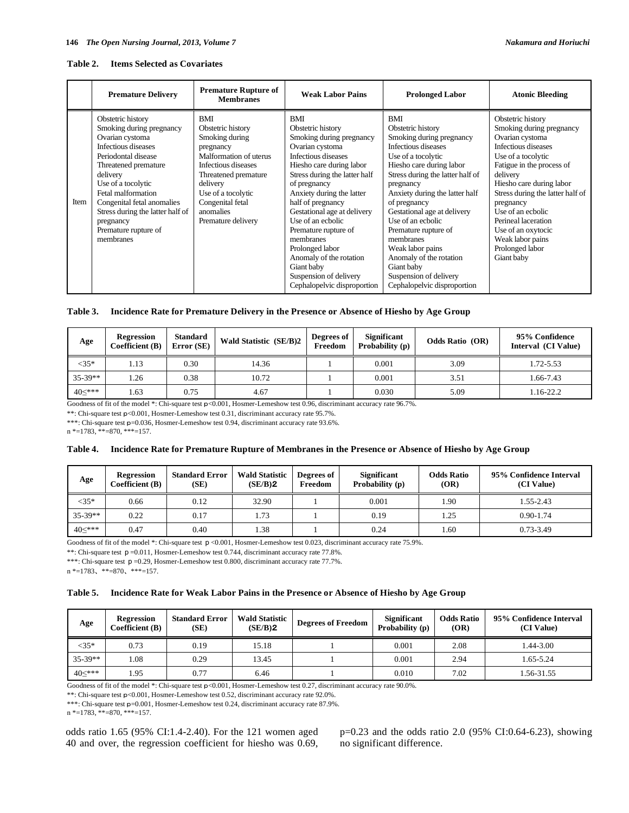| Table 2. |  | <b>Items Selected as Covariates</b> |
|----------|--|-------------------------------------|
|          |  |                                     |

|      | <b>Premature Delivery</b>                                                                                                                                                                                                                                                                                          | <b>Premature Rupture of</b><br><b>Membranes</b>                                                                                                                                                                           | <b>Weak Labor Pains</b>                                                                                                                                                                                                                                                                                                                                                                                                                            | <b>Prolonged Labor</b>                                                                                                                                                                                                                                                                                                                                                                                                                          | <b>Atonic Bleeding</b>                                                                                                                                                                                                                                                                                                                                     |
|------|--------------------------------------------------------------------------------------------------------------------------------------------------------------------------------------------------------------------------------------------------------------------------------------------------------------------|---------------------------------------------------------------------------------------------------------------------------------------------------------------------------------------------------------------------------|----------------------------------------------------------------------------------------------------------------------------------------------------------------------------------------------------------------------------------------------------------------------------------------------------------------------------------------------------------------------------------------------------------------------------------------------------|-------------------------------------------------------------------------------------------------------------------------------------------------------------------------------------------------------------------------------------------------------------------------------------------------------------------------------------------------------------------------------------------------------------------------------------------------|------------------------------------------------------------------------------------------------------------------------------------------------------------------------------------------------------------------------------------------------------------------------------------------------------------------------------------------------------------|
| Item | Obstetric history<br>Smoking during pregnancy<br>Ovarian cystoma<br>Infectious diseases<br>Periodontal disease<br>Threatened premature<br>delivery<br>Use of a tocolytic<br>Fetal malformation<br>Congenital fetal anomalies<br>Stress during the latter half of<br>pregnancy<br>Premature rupture of<br>membranes | BMI<br>Obstetric history<br>Smoking during<br>pregnancy<br>Malformation of uterus<br>Infectious diseases<br>Threatened premature<br>delivery<br>Use of a tocolytic<br>Congenital fetal<br>anomalies<br>Premature delivery | <b>BMI</b><br>Obstetric history<br>Smoking during pregnancy<br>Ovarian cystoma<br>Infectious diseases<br>Hiesho care during labor<br>Stress during the latter half<br>of pregnancy<br>Anxiety during the latter<br>half of pregnancy<br>Gestational age at delivery<br>Use of an ecbolic<br>Premature rupture of<br>membranes<br>Prolonged labor<br>Anomaly of the rotation<br>Giant baby<br>Suspension of delivery<br>Cephalopelvic disproportion | BMI<br>Obstetric history<br>Smoking during pregnancy<br>Infectious diseases<br>Use of a tocolytic<br>Hiesho care during labor<br>Stress during the latter half of<br>pregnancy<br>Anxiety during the latter half<br>of pregnancy<br>Gestational age at delivery<br>Use of an ecbolic<br>Premature rupture of<br>membranes<br>Weak labor pains<br>Anomaly of the rotation<br>Giant baby<br>Suspension of delivery<br>Cephalopelvic disproportion | Obstetric history<br>Smoking during pregnancy<br>Ovarian cystoma<br>Infectious diseases<br>Use of a tocolytic<br>Fatigue in the process of<br>delivery<br>Hiesho care during labor<br>Stress during the latter half of<br>pregnancy<br>Use of an ecbolic<br>Perineal laceration<br>Use of an oxytocic<br>Weak labor pains<br>Prolonged labor<br>Giant baby |

| Table 3. Incidence Rate for Premature Delivery in the Presence or Absence of Hiesho by Age Group |  |  |
|--------------------------------------------------------------------------------------------------|--|--|
|                                                                                                  |  |  |

| Age       | <b>Regression</b><br>Coefficient (B) | <b>Standard</b><br>Error (SE) | Wald Statistic (SE/B)2 | Degrees of<br>Freedom | <b>Significant</b><br>Probability (p) | <b>Odds Ratio</b> (OR) | 95% Confidence<br>Interval (CI Value) |
|-----------|--------------------------------------|-------------------------------|------------------------|-----------------------|---------------------------------------|------------------------|---------------------------------------|
| $<35*$    | 1.13                                 | 0.30                          | 14.36                  |                       | 0.001                                 | 3.09                   | 1.72-5.53                             |
| $35-39**$ | 1.26                                 | 0.38                          | 10.72                  |                       | 0.001                                 | 3.51                   | 1.66-7.43                             |
| 40≤***    | . 63                                 | 0.75                          | 4.67                   |                       | 0.030                                 | 5.09                   | 1.16-22.2                             |

Goodness of fit of the model \*: Chi-square test  $p<0.001$ , Hosmer-Lemeshow test 0.96, discriminant accuracy rate 96.7%.

\*\*: Chi-square test p<0.001, Hosmer-Lemeshow test 0.31, discriminant accuracy rate 95.7%.

\*\*\*: Chi-square test p=0.036, Hosmer-Lemeshow test 0.94, discriminant accuracy rate 93.6%.

 $n * = 1783$ , \*\* $= 870$ , \*\*\* $= 157$ .

#### **Table 4. Incidence Rate for Premature Rupture of Membranes in the Presence or Absence of Hiesho by Age Group**

| Age       | <b>Regression</b><br>Coefficient (B) | <b>Standard Error</b><br>(SE) | <b>Wald Statistic</b><br>(SE/B)2 | Degrees of<br>Freedom | <b>Significant</b><br>Probability (p) | <b>Odds Ratio</b><br>(OR) | 95% Confidence Interval<br>(CI Value) |
|-----------|--------------------------------------|-------------------------------|----------------------------------|-----------------------|---------------------------------------|---------------------------|---------------------------------------|
| $<35*$    | 0.66                                 | 0.12                          | 32.90                            |                       | 0.001                                 | 1.90                      | 1.55-2.43                             |
| $35-39**$ | 0.22                                 | 0.17                          | 1.73                             |                       | 0.19                                  | 1.25                      | $0.90 - 1.74$                         |
| $40<***$  | 0.47                                 | 0.40                          | 1.38                             |                       | 0.24                                  | 1.60                      | $0.73 - 3.49$                         |

Goodness of fit of the model \*: Chi-square test  $p < 0.001$ , Hosmer-Lemeshow test 0.023, discriminant accuracy rate 75.9%.

\*\*: Chi-square test  $p = 0.011$ , Hosmer-Lemeshow test 0.744, discriminant accuracy rate 77.8%.

\*\*\*: Chi-square test  $p = 0.29$ , Hosmer-Lemeshow test 0.800, discriminant accuracy rate 77.7%.

n \*=1783, \*\*=870, \*\*\*=157.

|  |  | Table 5. Incidence Rate for Weak Labor Pains in the Presence or Absence of Hiesho by Age Group |  |
|--|--|------------------------------------------------------------------------------------------------|--|
|  |  |                                                                                                |  |

| Age       | <b>Regression</b><br>Coefficient (B) | <b>Standard Error</b><br>(SE) | <b>Wald Statistic</b><br>(SE/B)2 | <b>Degrees of Freedom</b> | <b>Significant</b><br>Probability (p) | <b>Odds Ratio</b><br>(OR) | 95% Confidence Interval<br>(CI Value) |
|-----------|--------------------------------------|-------------------------------|----------------------------------|---------------------------|---------------------------------------|---------------------------|---------------------------------------|
| $<35*$    | 0.73                                 | 0.19                          | 15.18                            |                           | 0.001                                 | 2.08                      | $1.44 - 3.00$                         |
| $35-39**$ | 1.08                                 | 0.29                          | 13.45                            |                           | 0.001                                 | 2.94                      | 1.65-5.24                             |
| 40≤***    | l.95                                 | 0.77                          | 6.46                             |                           | 0.010                                 | 7.02                      | 1.56-31.55                            |

Goodness of fit of the model \*: Chi-square test p<0.001, Hosmer-Lemeshow test 0.27, discriminant accuracy rate 90.0%.

\*\*: Chi-square test p<0.001, Hosmer-Lemeshow test 0.52, discriminant accuracy rate 92.0%.

\*\*\*: Chi-square test p=0.001, Hosmer-Lemeshow test 0.24, discriminant accuracy rate 87.9%.

n \*=1783, \*\*=870, \*\*\*=157.

odds ratio 1.65 (95% CI:1.4-2.40). For the 121 women aged 40 and over, the regression coefficient for hiesho was 0.69,

p=0.23 and the odds ratio 2.0 (95% CI:0.64-6.23), showing no significant difference.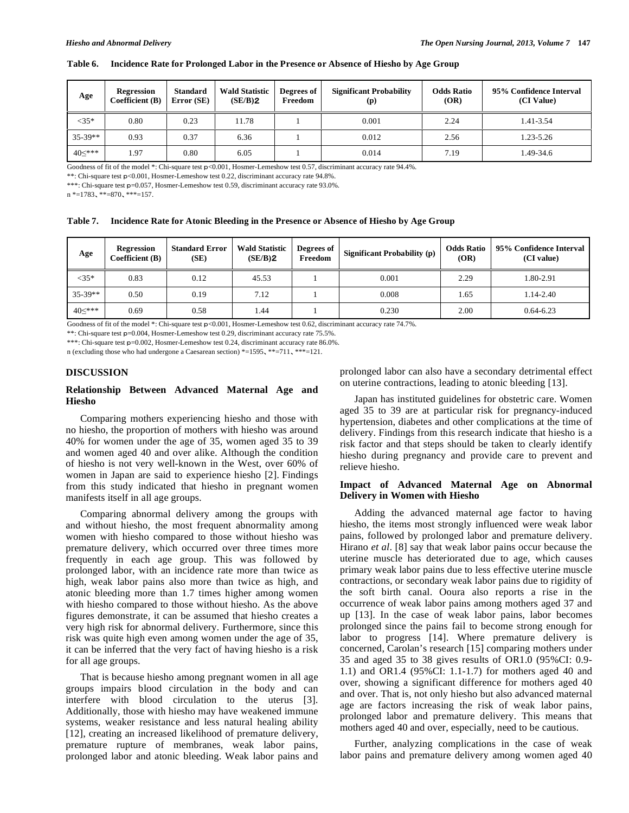| Age       | <b>Regression</b><br>Coefficient $(B)$ | <b>Standard</b><br>Error (SE) | <b>Wald Statistic</b><br>(SE/B)2 | Degrees of<br>Freedom | <b>Significant Probability</b><br>(p) | <b>Odds Ratio</b><br>(OR) | 95% Confidence Interval<br>(CI Value) |
|-----------|----------------------------------------|-------------------------------|----------------------------------|-----------------------|---------------------------------------|---------------------------|---------------------------------------|
| $<35*$    | 0.80                                   | 0.23                          | 11.78                            |                       | 0.001                                 | 2.24                      | 1.41-3.54                             |
| $35-39**$ | 0.93                                   | 0.37                          | 6.36                             |                       | 0.012                                 | 2.56                      | 1.23-5.26                             |
| 40≤***    | 1.97                                   | 0.80                          | 6.05                             |                       | 0.014                                 | 7.19                      | 1.49-34.6                             |

#### **Table 6. Incidence Rate for Prolonged Labor in the Presence or Absence of Hiesho by Age Group**

Goodness of fit of the model \*: Chi-square test p<0.001, Hosmer-Lemeshow test 0.57, discriminant accuracy rate 94.4%.

\*\*: Chi-square test p<0.001, Hosmer-Lemeshow test 0.22, discriminant accuracy rate 94.8%.

\*\*\*: Chi-square test p=0.057, Hosmer-Lemeshow test 0.59, discriminant accuracy rate 93.0%.

 $n * = 1783, ** = 870, ** = 157.$ 

| <b>Table 7.</b> | Incidence Rate for Atonic Bleeding in the Presence or Absence of Hiesho by Age Group |  |
|-----------------|--------------------------------------------------------------------------------------|--|
|                 |                                                                                      |  |

| Age       | <b>Regression</b><br>Coefficient (B) | <b>Standard Error</b><br>(SE) | <b>Wald Statistic</b><br>(SE/B)2 | Degrees of<br>Freedom | Significant Probability (p) | <b>Odds Ratio</b><br>(OR) | 95% Confidence Interval<br>(CI value) |
|-----------|--------------------------------------|-------------------------------|----------------------------------|-----------------------|-----------------------------|---------------------------|---------------------------------------|
| $<35*$    | 0.83                                 | 0.12                          | 45.53                            |                       | 0.001                       | 2.29                      | 1.80-2.91                             |
| $35-39**$ | 0.50                                 | 0.19                          | 7.12                             |                       | 0.008                       | 1.65                      | 1.14-2.40                             |
| $40<***$  | 0.69                                 | 0.58                          | .44                              |                       | 0.230                       | 2.00                      | $0.64 - 6.23$                         |

Goodness of fit of the model \*: Chi-square test  $p<0.001$ , Hosmer-Lemeshow test 0.62, discriminant accuracy rate 74.7%.

\*\*: Chi-square test p=0.004, Hosmer-Lemeshow test 0.29, discriminant accuracy rate 75.5%.

\*\*\*: Chi-square test p=0.002, Hosmer-Lemeshow test 0.24, discriminant accuracy rate 86.0%.

n (excluding those who had undergone a Caesarean section) \*=1595, \*\*=711, \*\*\*=121.

#### **DISCUSSION**

# **Relationship Between Advanced Maternal Age and Hiesho**

 Comparing mothers experiencing hiesho and those with no hiesho, the proportion of mothers with hiesho was around 40% for women under the age of 35, women aged 35 to 39 and women aged 40 and over alike. Although the condition of hiesho is not very well-known in the West, over 60% of women in Japan are said to experience hiesho [2]. Findings from this study indicated that hiesho in pregnant women manifests itself in all age groups.

 Comparing abnormal delivery among the groups with and without hiesho, the most frequent abnormality among women with hiesho compared to those without hiesho was premature delivery, which occurred over three times more frequently in each age group. This was followed by prolonged labor, with an incidence rate more than twice as high, weak labor pains also more than twice as high, and atonic bleeding more than 1.7 times higher among women with hiesho compared to those without hiesho. As the above figures demonstrate, it can be assumed that hiesho creates a very high risk for abnormal delivery. Furthermore, since this risk was quite high even among women under the age of 35, it can be inferred that the very fact of having hiesho is a risk for all age groups.

 That is because hiesho among pregnant women in all age groups impairs blood circulation in the body and can interfere with blood circulation to the uterus [3]. Additionally, those with hiesho may have weakened immune systems, weaker resistance and less natural healing ability [12], creating an increased likelihood of premature delivery, premature rupture of membranes, weak labor pains, prolonged labor and atonic bleeding. Weak labor pains and

prolonged labor can also have a secondary detrimental effect on uterine contractions, leading to atonic bleeding [13].

 Japan has instituted guidelines for obstetric care. Women aged 35 to 39 are at particular risk for pregnancy-induced hypertension, diabetes and other complications at the time of delivery. Findings from this research indicate that hiesho is a risk factor and that steps should be taken to clearly identify hiesho during pregnancy and provide care to prevent and relieve hiesho.

# **Impact of Advanced Maternal Age on Abnormal Delivery in Women with Hiesho**

 Adding the advanced maternal age factor to having hiesho, the items most strongly influenced were weak labor pains, followed by prolonged labor and premature delivery. Hirano *et al*. [8] say that weak labor pains occur because the uterine muscle has deteriorated due to age, which causes primary weak labor pains due to less effective uterine muscle contractions, or secondary weak labor pains due to rigidity of the soft birth canal. Ooura also reports a rise in the occurrence of weak labor pains among mothers aged 37 and up [13]. In the case of weak labor pains, labor becomes prolonged since the pains fail to become strong enough for labor to progress [14]. Where premature delivery is concerned, Carolan's research [15] comparing mothers under 35 and aged 35 to 38 gives results of OR1.0 (95%CI: 0.9- 1.1) and OR1.4 (95%CI: 1.1-1.7) for mothers aged 40 and over, showing a significant difference for mothers aged 40 and over. That is, not only hiesho but also advanced maternal age are factors increasing the risk of weak labor pains, prolonged labor and premature delivery. This means that mothers aged 40 and over, especially, need to be cautious.

 Further, analyzing complications in the case of weak labor pains and premature delivery among women aged 40